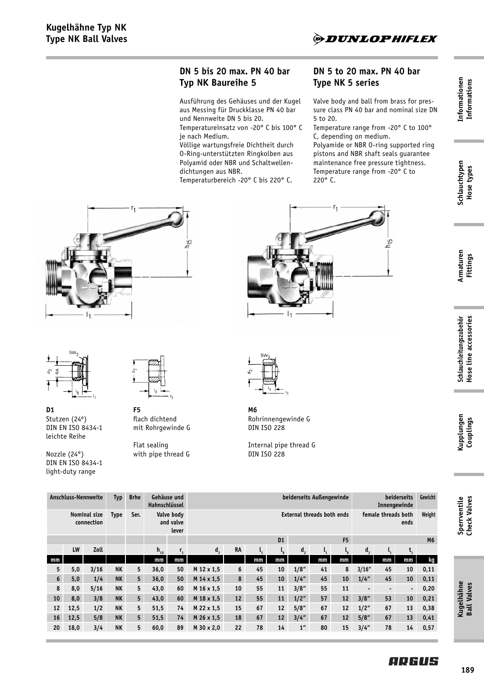

## **DN 5 bis 20 max. PN 40 bar Typ NK Baureihe 5**

Ausführung des Gehäuses und der Kugel aus Messing für Druckklasse PN 40 bar und Nennweite DN 5 bis 20.

Temperatureinsatz von -20° C bis 100° C je nach Medium.

Völlige wartungsfreie Dichtheit durch O-Ring-unterstützten Ringkolben aus Polyamid oder NBR und Schaltwellendichtungen aus NBR.

Temperaturbereich -20° C bis 220° C.

## **DN 5 to 20 max. PN 40 bar Type NK 5 series**

Valve body and ball from brass for pressure class PN 40 bar and nominal size DN 5 to 20.

Temperature range from -20° C to 100° C, depending on medium.

Polyamide or NBR O-ring supported ring pistons and NBR shaft seals guarantee maintenance free pressure tightness. Temperature range from -20° C to 220° C.







**D1** Stutzen (24º) DIN EN ISO 8434-1 leichte Reihe

Nozzle (24°) DIN EN ISO 8434-1 light-duty range



**F5** flach dichtend mit Rohrgewinde G

Flat sealing with pipe thread G



**M6** Rohrinnengewinde G DIN ISO 228

Internal pipe thread G DIN ISO 228

| Anschluss-Nennweite               |      |      | <b>Typ</b> | <b>Brhe</b> | Hahnschlüssel                    | Gehäuse und                       | beiderseits Außengewinde         |                 |    |                 |                    |    | beiderseits<br>Innengewinde |                          |    | Gewicht |      |
|-----------------------------------|------|------|------------|-------------|----------------------------------|-----------------------------------|----------------------------------|-----------------|----|-----------------|--------------------|----|-----------------------------|--------------------------|----|---------|------|
| <b>Nominal size</b><br>connection |      | Type | Ser.       |             | Valve body<br>and valve<br>lever | <b>External threads both ends</b> |                                  |                 |    |                 |                    |    | female threads both<br>ends |                          |    | Weight  |      |
|                                   |      |      |            |             |                                  |                                   | F <sub>5</sub><br>D <sub>1</sub> |                 |    |                 | M <sub>6</sub>     |    |                             |                          |    |         |      |
|                                   | LW   | Zoll |            |             | $h_{15}$                         | $r_{1}$                           | $\mathbf{d}_{2}$                 | <b>RA</b>       |    |                 | $\mathbf{d}_{2}$   |    | $L_{\rm g}$                 | $\mathbf{d}_{2}$         |    | $t_{1}$ |      |
| mm                                |      |      |            |             | mm                               | mm                                |                                  |                 | mm | mm              |                    | mm | mm                          |                          | mm | mm      | kg   |
| 5                                 | 5,0  | 3/16 | <b>NK</b>  | 5           | 36,0                             | 50                                | M 12 x 1,5                       | 6               | 45 | 10              | 1/8''              | 41 | 8                           | 3/16''                   | 45 | 10      | 0,11 |
| 6                                 | 5,0  | 1/4  | <b>NK</b>  | 5           | 36,0                             | 50                                | M 14 x 1.5                       | 8               | 45 | 10 <sup>1</sup> | 1/4''              | 45 | 10                          | 1/4''                    | 45 | 10      | 0,11 |
| 8                                 | 8,0  | 5/16 | <b>NK</b>  | 5           | 43,0                             | 60                                | M 16 x 1.5                       | 10              | 55 | 11              | 3/8''              | 55 | 11                          | $\overline{\phantom{a}}$ | ۰  | ٠       | 0,20 |
| 10                                | 8,0  | 3/8  | <b>NK</b>  | 5           | 43,0                             | 60                                | M 18 x 1,5                       | 12 <sup>2</sup> | 55 | 11              | 1/2''              | 57 | 12 <sup>2</sup>             | 3/8''                    | 53 | 10      | 0,21 |
| 12                                | 12,5 | 1/2  | <b>NK</b>  | 5           | 51,5                             | 74                                | M 22 x 1,5                       | 15              | 67 | 12              | 5/8''              | 67 | 12                          | 1/2''                    | 67 | 13      | 0,38 |
| 16                                | 12,5 | 5/8  | <b>NK</b>  | 5           | 51,5                             | 74                                | M 26 x 1.5                       | 18              | 67 | 12 <sup>2</sup> | 3/4''              | 67 | 12 <sup>2</sup>             | 5/8''                    | 67 | 13      | 0,41 |
| 20                                | 18,0 | 3/4  | <b>NK</b>  | 5           | 60,0                             | 89                                | M 30 x 2,0                       | 22              | 78 | 14              | $1^{\prime\prime}$ | 80 | 15                          | 3/4''                    | 78 | 14      | 0,57 |

## ADGUS